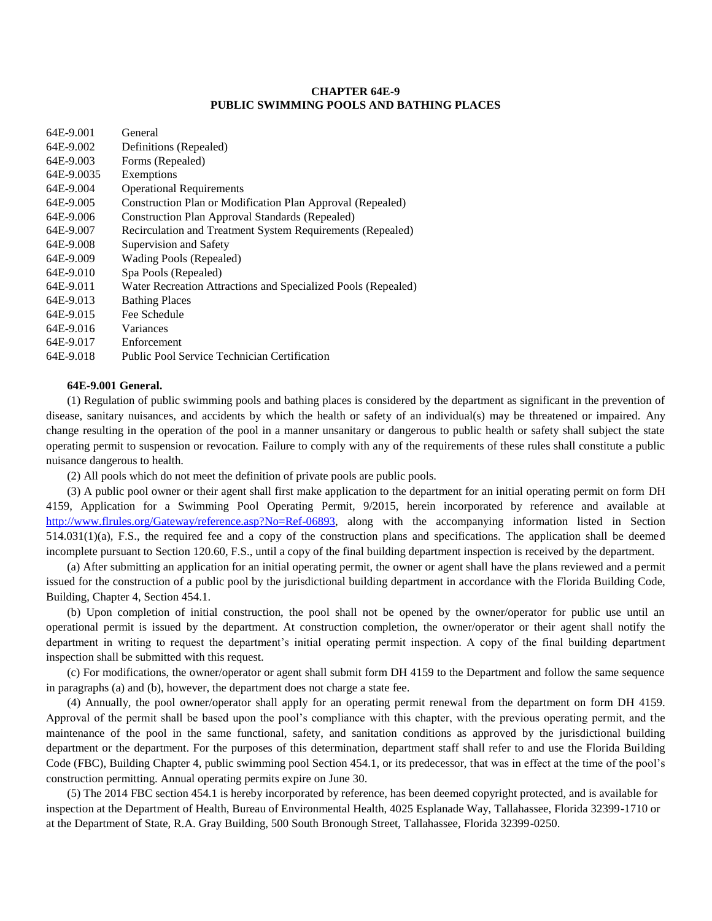## **CHAPTER 64E-9 PUBLIC SWIMMING POOLS AND BATHING PLACES**

| 64E-9.001  | General                                                       |
|------------|---------------------------------------------------------------|
| 64E-9.002  | Definitions (Repealed)                                        |
| 64E-9.003  | Forms (Repealed)                                              |
| 64E-9.0035 | Exemptions                                                    |
| 64E-9.004  | <b>Operational Requirements</b>                               |
| 64E-9.005  | Construction Plan or Modification Plan Approval (Repealed)    |
| 64E-9.006  | <b>Construction Plan Approval Standards (Repealed)</b>        |
| 64E-9.007  | Recirculation and Treatment System Requirements (Repealed)    |
| 64E-9.008  | Supervision and Safety                                        |
| 64E-9.009  | Wading Pools (Repealed)                                       |
| 64E-9.010  | Spa Pools (Repealed)                                          |
| 64E-9.011  | Water Recreation Attractions and Specialized Pools (Repealed) |
| 64E-9.013  | <b>Bathing Places</b>                                         |
| 64E-9.015  | Fee Schedule                                                  |
| 64E-9.016  | Variances                                                     |
| 64E-9.017  | Enforcement                                                   |
| 64E-9.018  | Public Pool Service Technician Certification                  |
|            |                                                               |

# **64E-9.001 General.**

(1) Regulation of public swimming pools and bathing places is considered by the department as significant in the prevention of disease, sanitary nuisances, and accidents by which the health or safety of an individual(s) may be threatened or impaired. Any change resulting in the operation of the pool in a manner unsanitary or dangerous to public health or safety shall subject the state operating permit to suspension or revocation. Failure to comply with any of the requirements of these rules shall constitute a public nuisance dangerous to health.

(2) All pools which do not meet the definition of private pools are public pools.

(3) A public pool owner or their agent shall first make application to the department for an initial operating permit on form DH 4159, Application for a Swimming Pool Operating Permit, 9/2015, herein incorporated by reference and available at [http://www.flrules.org/Gateway/reference.asp?No=Ref-06893,](http://www.flrules.org/Gateway/reference.asp?No=Ref-06893) along with the accompanying information listed in Section  $514.031(1)(a)$ , F.S., the required fee and a copy of the construction plans and specifications. The application shall be deemed incomplete pursuant to Section 120.60, F.S., until a copy of the final building department inspection is received by the department.

(a) After submitting an application for an initial operating permit, the owner or agent shall have the plans reviewed and a permit issued for the construction of a public pool by the jurisdictional building department in accordance with the Florida Building Code, Building, Chapter 4, Section 454.1.

(b) Upon completion of initial construction, the pool shall not be opened by the owner/operator for public use until an operational permit is issued by the department. At construction completion, the owner/operator or their agent shall notify the department in writing to request the department's initial operating permit inspection. A copy of the final building department inspection shall be submitted with this request.

(c) For modifications, the owner/operator or agent shall submit form DH 4159 to the Department and follow the same sequence in paragraphs (a) and (b), however, the department does not charge a state fee.

(4) Annually, the pool owner/operator shall apply for an operating permit renewal from the department on form DH 4159. Approval of the permit shall be based upon the pool's compliance with this chapter, with the previous operating permit, and the maintenance of the pool in the same functional, safety, and sanitation conditions as approved by the jurisdictional building department or the department. For the purposes of this determination, department staff shall refer to and use the Florida Building Code (FBC), Building Chapter 4, public swimming pool Section 454.1, or its predecessor, that was in effect at the time of the pool's construction permitting. Annual operating permits expire on June 30.

(5) The 2014 FBC section 454.1 is hereby incorporated by reference, has been deemed copyright protected, and is available for inspection at the Department of Health, Bureau of Environmental Health, 4025 Esplanade Way, Tallahassee, Florida 32399-1710 or at the Department of State, R.A. Gray Building, 500 South Bronough Street, Tallahassee, Florida 32399-0250.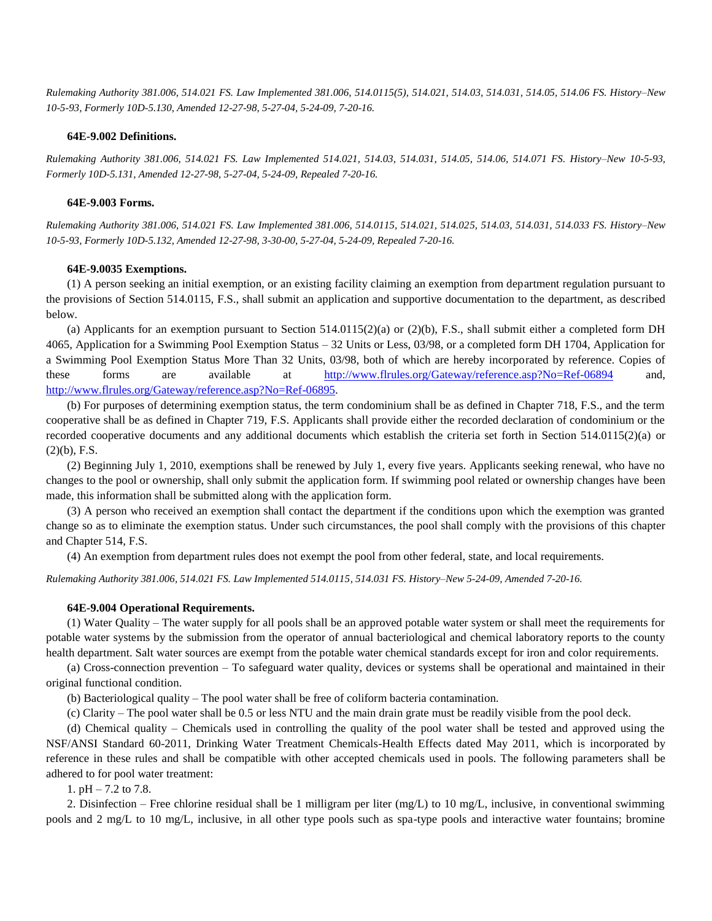*Rulemaking Authority 381.006, 514.021 FS. Law Implemented 381.006, 514.0115(5), 514.021, 514.03, 514.031, 514.05, 514.06 FS. History–New 10-5-93, Formerly 10D-5.130, Amended 12-27-98, 5-27-04, 5-24-09, 7-20-16.*

### **64E-9.002 Definitions.**

*Rulemaking Authority 381.006, 514.021 FS. Law Implemented 514.021, 514.03, 514.031, 514.05, 514.06, 514.071 FS. History–New 10-5-93, Formerly 10D-5.131, Amended 12-27-98, 5-27-04, 5-24-09, Repealed 7-20-16.*

#### **64E-9.003 Forms.**

*Rulemaking Authority 381.006, 514.021 FS. Law Implemented 381.006, 514.0115, 514.021, 514.025, 514.03, 514.031, 514.033 FS. History–New 10-5-93, Formerly 10D-5.132, Amended 12-27-98, 3-30-00, 5-27-04, 5-24-09, Repealed 7-20-16.*

### **64E-9.0035 Exemptions.**

(1) A person seeking an initial exemption, or an existing facility claiming an exemption from department regulation pursuant to the provisions of Section 514.0115, F.S., shall submit an application and supportive documentation to the department, as described below.

(a) Applicants for an exemption pursuant to Section  $514.0115(2)(a)$  or  $(2)(b)$ , F.S., shall submit either a completed form DH 4065, Application for a Swimming Pool Exemption Status – 32 Units or Less, 03/98, or a completed form DH 1704, Application for a Swimming Pool Exemption Status More Than 32 Units, 03/98, both of which are hereby incorporated by reference. Copies of these forms are available at <http://www.flrules.org/Gateway/reference.asp?No=Ref-06894> and, [http://www.flrules.org/Gateway/reference.asp?No=Ref-06895.](http://www.flrules.org/Gateway/reference.asp?No=Ref-06895)

(b) For purposes of determining exemption status, the term condominium shall be as defined in Chapter 718, F.S., and the term cooperative shall be as defined in Chapter 719, F.S. Applicants shall provide either the recorded declaration of condominium or the recorded cooperative documents and any additional documents which establish the criteria set forth in Section 514.0115(2)(a) or  $(2)(b)$ , F.S.

(2) Beginning July 1, 2010, exemptions shall be renewed by July 1, every five years. Applicants seeking renewal, who have no changes to the pool or ownership, shall only submit the application form. If swimming pool related or ownership changes have been made, this information shall be submitted along with the application form.

(3) A person who received an exemption shall contact the department if the conditions upon which the exemption was granted change so as to eliminate the exemption status. Under such circumstances, the pool shall comply with the provisions of this chapter and Chapter 514, F.S.

(4) An exemption from department rules does not exempt the pool from other federal, state, and local requirements.

*Rulemaking Authority 381.006, 514.021 FS. Law Implemented 514.0115, 514.031 FS. History–New 5-24-09, Amended 7-20-16.*

#### **64E-9.004 Operational Requirements.**

(1) Water Quality – The water supply for all pools shall be an approved potable water system or shall meet the requirements for potable water systems by the submission from the operator of annual bacteriological and chemical laboratory reports to the county health department. Salt water sources are exempt from the potable water chemical standards except for iron and color requirements.

(a) Cross-connection prevention – To safeguard water quality, devices or systems shall be operational and maintained in their original functional condition.

(b) Bacteriological quality – The pool water shall be free of coliform bacteria contamination.

(c) Clarity – The pool water shall be 0.5 or less NTU and the main drain grate must be readily visible from the pool deck.

(d) Chemical quality – Chemicals used in controlling the quality of the pool water shall be tested and approved using the NSF/ANSI Standard 60-2011, Drinking Water Treatment Chemicals-Health Effects dated May 2011, which is incorporated by reference in these rules and shall be compatible with other accepted chemicals used in pools. The following parameters shall be adhered to for pool water treatment:

1.  $pH - 7.2$  to 7.8.

2. Disinfection – Free chlorine residual shall be 1 milligram per liter (mg/L) to 10 mg/L, inclusive, in conventional swimming pools and 2 mg/L to 10 mg/L, inclusive, in all other type pools such as spa-type pools and interactive water fountains; bromine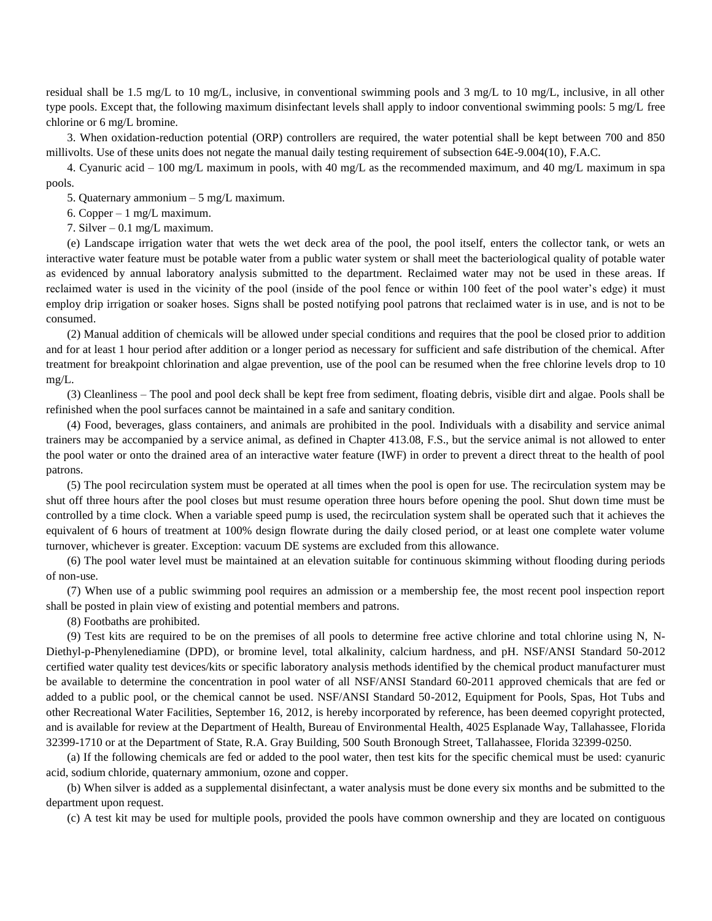residual shall be 1.5 mg/L to 10 mg/L, inclusive, in conventional swimming pools and 3 mg/L to 10 mg/L, inclusive, in all other type pools. Except that, the following maximum disinfectant levels shall apply to indoor conventional swimming pools: 5 mg/L free chlorine or 6 mg/L bromine.

3. When oxidation-reduction potential (ORP) controllers are required, the water potential shall be kept between 700 and 850 millivolts. Use of these units does not negate the manual daily testing requirement of subsection 64E-9.004(10), F.A.C.

4. Cyanuric acid – 100 mg/L maximum in pools, with 40 mg/L as the recommended maximum, and 40 mg/L maximum in spa pools.

5. Quaternary ammonium – 5 mg/L maximum.

6. Copper – 1 mg/L maximum.

7. Silver – 0.1 mg/L maximum.

(e) Landscape irrigation water that wets the wet deck area of the pool, the pool itself, enters the collector tank, or wets an interactive water feature must be potable water from a public water system or shall meet the bacteriological quality of potable water as evidenced by annual laboratory analysis submitted to the department. Reclaimed water may not be used in these areas. If reclaimed water is used in the vicinity of the pool (inside of the pool fence or within 100 feet of the pool water's edge) it must employ drip irrigation or soaker hoses. Signs shall be posted notifying pool patrons that reclaimed water is in use, and is not to be consumed.

(2) Manual addition of chemicals will be allowed under special conditions and requires that the pool be closed prior to addition and for at least 1 hour period after addition or a longer period as necessary for sufficient and safe distribution of the chemical. After treatment for breakpoint chlorination and algae prevention, use of the pool can be resumed when the free chlorine levels drop to 10 mg/L.

(3) Cleanliness – The pool and pool deck shall be kept free from sediment, floating debris, visible dirt and algae. Pools shall be refinished when the pool surfaces cannot be maintained in a safe and sanitary condition.

(4) Food, beverages, glass containers, and animals are prohibited in the pool. Individuals with a disability and service animal trainers may be accompanied by a service animal, as defined in Chapter 413.08, F.S., but the service animal is not allowed to enter the pool water or onto the drained area of an interactive water feature (IWF) in order to prevent a direct threat to the health of pool patrons.

(5) The pool recirculation system must be operated at all times when the pool is open for use. The recirculation system may be shut off three hours after the pool closes but must resume operation three hours before opening the pool. Shut down time must be controlled by a time clock. When a variable speed pump is used, the recirculation system shall be operated such that it achieves the equivalent of 6 hours of treatment at 100% design flowrate during the daily closed period, or at least one complete water volume turnover, whichever is greater. Exception: vacuum DE systems are excluded from this allowance.

(6) The pool water level must be maintained at an elevation suitable for continuous skimming without flooding during periods of non-use.

(7) When use of a public swimming pool requires an admission or a membership fee, the most recent pool inspection report shall be posted in plain view of existing and potential members and patrons.

(8) Footbaths are prohibited.

(9) Test kits are required to be on the premises of all pools to determine free active chlorine and total chlorine using N, N-Diethyl-p-Phenylenediamine (DPD), or bromine level, total alkalinity, calcium hardness, and pH. NSF/ANSI Standard 50-2012 certified water quality test devices/kits or specific laboratory analysis methods identified by the chemical product manufacturer must be available to determine the concentration in pool water of all NSF/ANSI Standard 60-2011 approved chemicals that are fed or added to a public pool, or the chemical cannot be used. NSF/ANSI Standard 50-2012, Equipment for Pools, Spas, Hot Tubs and other Recreational Water Facilities, September 16, 2012, is hereby incorporated by reference, has been deemed copyright protected, and is available for review at the Department of Health, Bureau of Environmental Health, 4025 Esplanade Way, Tallahassee, Florida 32399-1710 or at the Department of State, R.A. Gray Building, 500 South Bronough Street, Tallahassee, Florida 32399-0250.

(a) If the following chemicals are fed or added to the pool water, then test kits for the specific chemical must be used: cyanuric acid, sodium chloride, quaternary ammonium, ozone and copper.

(b) When silver is added as a supplemental disinfectant, a water analysis must be done every six months and be submitted to the department upon request.

(c) A test kit may be used for multiple pools, provided the pools have common ownership and they are located on contiguous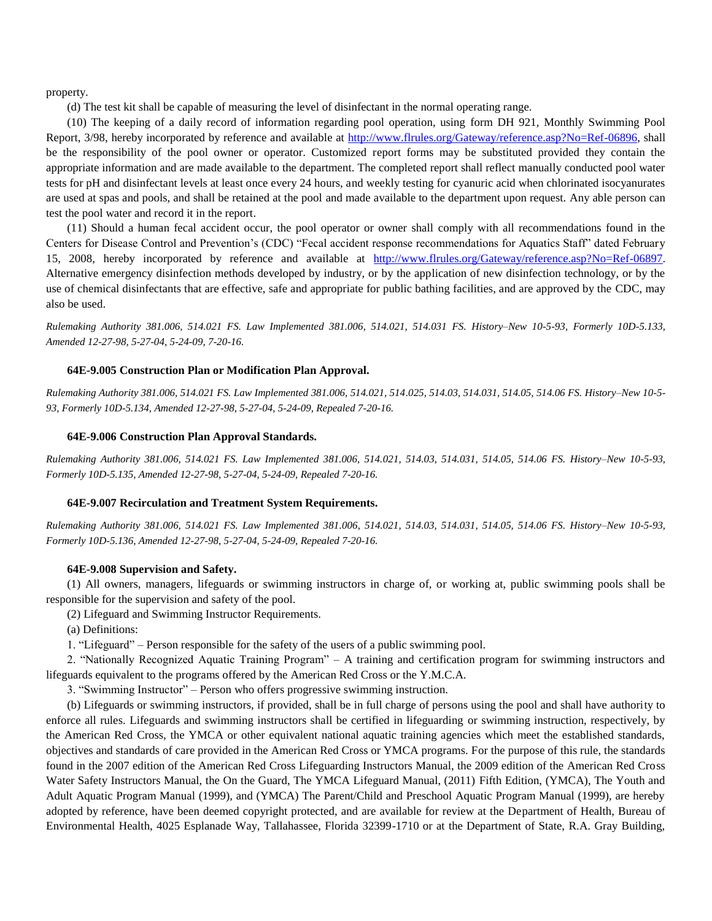property.

(d) The test kit shall be capable of measuring the level of disinfectant in the normal operating range.

(10) The keeping of a daily record of information regarding pool operation, using form DH 921, Monthly Swimming Pool Report, 3/98, hereby incorporated by reference and available at [http://www.flrules.org/Gateway/reference.asp?No=Ref-06896,](http://www.flrules.org/Gateway/reference.asp?No=Ref-06896) shall be the responsibility of the pool owner or operator. Customized report forms may be substituted provided they contain the appropriate information and are made available to the department. The completed report shall reflect manually conducted pool water tests for pH and disinfectant levels at least once every 24 hours, and weekly testing for cyanuric acid when chlorinated isocyanurates are used at spas and pools, and shall be retained at the pool and made available to the department upon request. Any able person can test the pool water and record it in the report.

(11) Should a human fecal accident occur, the pool operator or owner shall comply with all recommendations found in the Centers for Disease Control and Prevention's (CDC) "Fecal accident response recommendations for Aquatics Staff" dated February 15, 2008, hereby incorporated by reference and available at [http://www.flrules.org/Gateway/reference.asp?No=Ref-06897.](http://www.flrules.org/Gateway/reference.asp?No=Ref-06897) Alternative emergency disinfection methods developed by industry, or by the application of new disinfection technology, or by the use of chemical disinfectants that are effective, safe and appropriate for public bathing facilities, and are approved by the CDC, may also be used.

*Rulemaking Authority 381.006, 514.021 FS. Law Implemented 381.006, 514.021, 514.031 FS. History–New 10-5-93, Formerly 10D-5.133, Amended 12-27-98, 5-27-04, 5-24-09, 7-20-16.*

### **64E-9.005 Construction Plan or Modification Plan Approval.**

*Rulemaking Authority 381.006, 514.021 FS. Law Implemented 381.006, 514.021, 514.025, 514.03, 514.031, 514.05, 514.06 FS. History–New 10-5- 93, Formerly 10D-5.134, Amended 12-27-98, 5-27-04, 5-24-09, Repealed 7-20-16.*

#### **64E-9.006 Construction Plan Approval Standards.**

*Rulemaking Authority 381.006, 514.021 FS. Law Implemented 381.006, 514.021, 514.03, 514.031, 514.05, 514.06 FS. History–New 10-5-93, Formerly 10D-5.135, Amended 12-27-98, 5-27-04, 5-24-09, Repealed 7-20-16.*

#### **64E-9.007 Recirculation and Treatment System Requirements.**

*Rulemaking Authority 381.006, 514.021 FS. Law Implemented 381.006, 514.021, 514.03, 514.031, 514.05, 514.06 FS. History–New 10-5-93, Formerly 10D-5.136, Amended 12-27-98, 5-27-04, 5-24-09, Repealed 7-20-16.*

#### **64E-9.008 Supervision and Safety.**

(1) All owners, managers, lifeguards or swimming instructors in charge of, or working at, public swimming pools shall be responsible for the supervision and safety of the pool.

(2) Lifeguard and Swimming Instructor Requirements.

(a) Definitions:

1. "Lifeguard" – Person responsible for the safety of the users of a public swimming pool.

2. "Nationally Recognized Aquatic Training Program" – A training and certification program for swimming instructors and lifeguards equivalent to the programs offered by the American Red Cross or the Y.M.C.A.

3. "Swimming Instructor" – Person who offers progressive swimming instruction.

(b) Lifeguards or swimming instructors, if provided, shall be in full charge of persons using the pool and shall have authority to enforce all rules. Lifeguards and swimming instructors shall be certified in lifeguarding or swimming instruction, respectively, by the American Red Cross, the YMCA or other equivalent national aquatic training agencies which meet the established standards, objectives and standards of care provided in the American Red Cross or YMCA programs. For the purpose of this rule, the standards found in the 2007 edition of the American Red Cross Lifeguarding Instructors Manual, the 2009 edition of the American Red Cross Water Safety Instructors Manual, the On the Guard, The YMCA Lifeguard Manual, (2011) Fifth Edition, (YMCA), The Youth and Adult Aquatic Program Manual (1999), and (YMCA) The Parent/Child and Preschool Aquatic Program Manual (1999), are hereby adopted by reference, have been deemed copyright protected, and are available for review at the Department of Health, Bureau of Environmental Health, 4025 Esplanade Way, Tallahassee, Florida 32399-1710 or at the Department of State, R.A. Gray Building,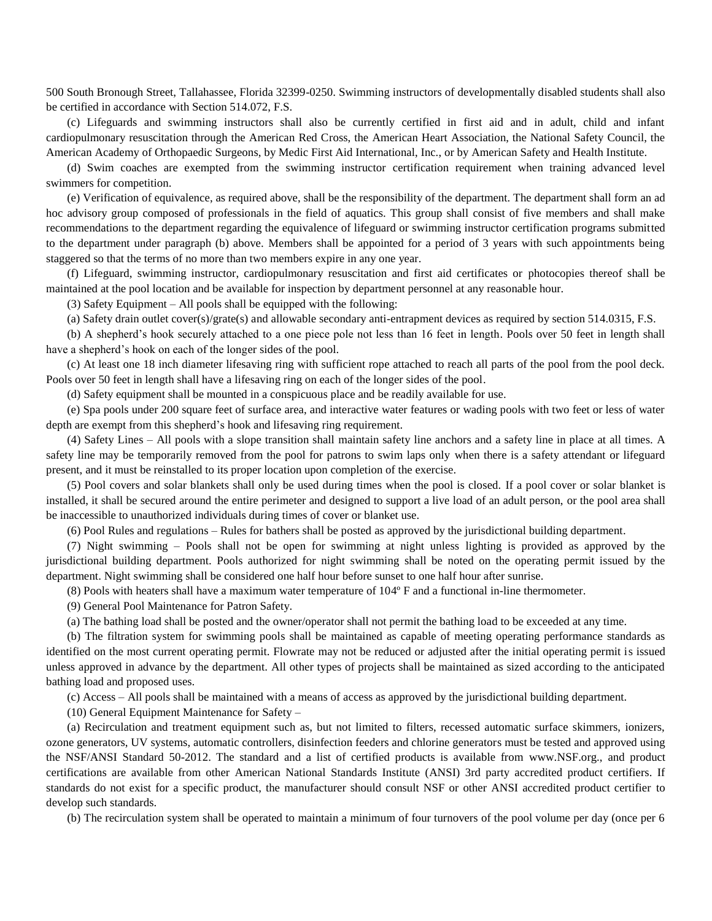500 South Bronough Street, Tallahassee, Florida 32399-0250. Swimming instructors of developmentally disabled students shall also be certified in accordance with Section 514.072, F.S.

(c) Lifeguards and swimming instructors shall also be currently certified in first aid and in adult, child and infant cardiopulmonary resuscitation through the American Red Cross, the American Heart Association, the National Safety Council, the American Academy of Orthopaedic Surgeons, by Medic First Aid International, Inc., or by American Safety and Health Institute.

(d) Swim coaches are exempted from the swimming instructor certification requirement when training advanced level swimmers for competition.

(e) Verification of equivalence, as required above, shall be the responsibility of the department. The department shall form an ad hoc advisory group composed of professionals in the field of aquatics. This group shall consist of five members and shall make recommendations to the department regarding the equivalence of lifeguard or swimming instructor certification programs submitted to the department under paragraph (b) above. Members shall be appointed for a period of 3 years with such appointments being staggered so that the terms of no more than two members expire in any one year.

(f) Lifeguard, swimming instructor, cardiopulmonary resuscitation and first aid certificates or photocopies thereof shall be maintained at the pool location and be available for inspection by department personnel at any reasonable hour.

(3) Safety Equipment – All pools shall be equipped with the following:

(a) Safety drain outlet cover(s)/grate(s) and allowable secondary anti-entrapment devices as required by section 514.0315, F.S.

(b) A shepherd's hook securely attached to a one piece pole not less than 16 feet in length. Pools over 50 feet in length shall have a shepherd's hook on each of the longer sides of the pool.

(c) At least one 18 inch diameter lifesaving ring with sufficient rope attached to reach all parts of the pool from the pool deck. Pools over 50 feet in length shall have a lifesaving ring on each of the longer sides of the pool.

(d) Safety equipment shall be mounted in a conspicuous place and be readily available for use.

(e) Spa pools under 200 square feet of surface area, and interactive water features or wading pools with two feet or less of water depth are exempt from this shepherd's hook and lifesaving ring requirement.

(4) Safety Lines – All pools with a slope transition shall maintain safety line anchors and a safety line in place at all times. A safety line may be temporarily removed from the pool for patrons to swim laps only when there is a safety attendant or lifeguard present, and it must be reinstalled to its proper location upon completion of the exercise.

(5) Pool covers and solar blankets shall only be used during times when the pool is closed. If a pool cover or solar blanket is installed, it shall be secured around the entire perimeter and designed to support a live load of an adult person, or the pool area shall be inaccessible to unauthorized individuals during times of cover or blanket use.

(6) Pool Rules and regulations – Rules for bathers shall be posted as approved by the jurisdictional building department.

(7) Night swimming – Pools shall not be open for swimming at night unless lighting is provided as approved by the jurisdictional building department. Pools authorized for night swimming shall be noted on the operating permit issued by the department. Night swimming shall be considered one half hour before sunset to one half hour after sunrise.

(8) Pools with heaters shall have a maximum water temperature of 104º F and a functional in-line thermometer.

(9) General Pool Maintenance for Patron Safety.

(a) The bathing load shall be posted and the owner/operator shall not permit the bathing load to be exceeded at any time.

(b) The filtration system for swimming pools shall be maintained as capable of meeting operating performance standards as identified on the most current operating permit. Flowrate may not be reduced or adjusted after the initial operating permit is issued unless approved in advance by the department. All other types of projects shall be maintained as sized according to the anticipated bathing load and proposed uses.

(c) Access – All pools shall be maintained with a means of access as approved by the jurisdictional building department.

(10) General Equipment Maintenance for Safety –

(a) Recirculation and treatment equipment such as, but not limited to filters, recessed automatic surface skimmers, ionizers, ozone generators, UV systems, automatic controllers, disinfection feeders and chlorine generators must be tested and approved using the NSF/ANSI Standard 50-2012. The standard and a list of certified products is available from [www.NSF.org.](http://www.nsf.org/), and product certifications are available from other American National Standards Institute (ANSI) 3rd party accredited product certifiers. If standards do not exist for a specific product, the manufacturer should consult NSF or other ANSI accredited product certifier to develop such standards.

(b) The recirculation system shall be operated to maintain a minimum of four turnovers of the pool volume per day (once per 6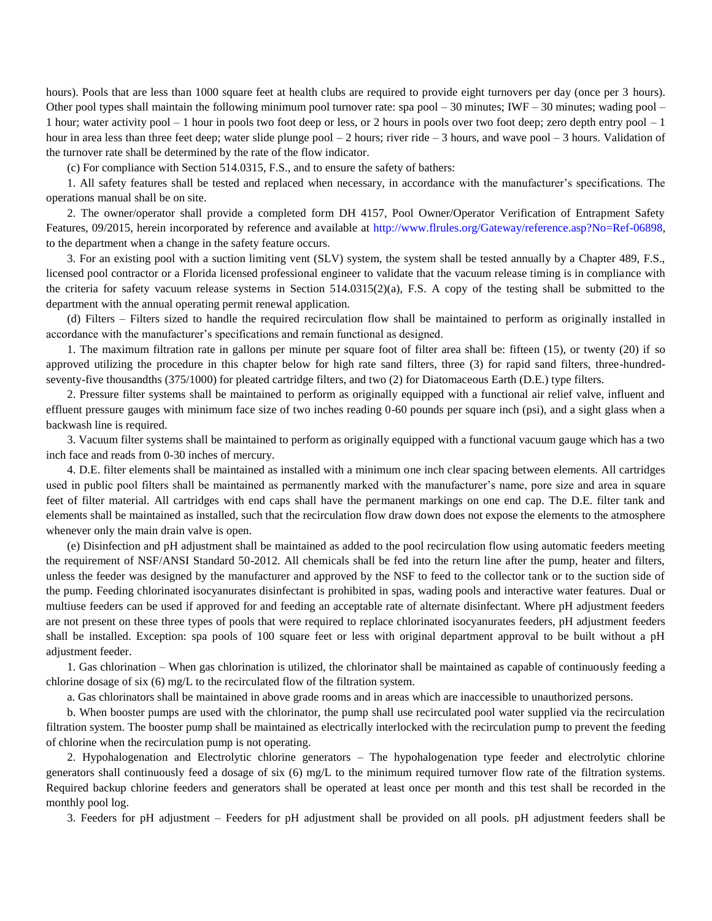hours). Pools that are less than 1000 square feet at health clubs are required to provide eight turnovers per day (once per 3 hours). Other pool types shall maintain the following minimum pool turnover rate: spa pool  $-$  30 minutes; IWF  $-$  30 minutes; wading pool  $-$ 1 hour; water activity pool – 1 hour in pools two foot deep or less, or 2 hours in pools over two foot deep; zero depth entry pool – 1 hour in area less than three feet deep; water slide plunge pool – 2 hours; river ride – 3 hours, and wave pool – 3 hours. Validation of the turnover rate shall be determined by the rate of the flow indicator.

(c) For compliance with Section 514.0315, F.S., and to ensure the safety of bathers:

1. All safety features shall be tested and replaced when necessary, in accordance with the manufacturer's specifications. The operations manual shall be on site.

2. The owner/operator shall provide a completed form DH 4157, Pool Owner/Operator Verification of Entrapment Safety Features, 09/2015, herein incorporated by reference and available at [http://www.flrules.org/Gateway/reference.asp?No=Ref-06898,](http://www.flrules.org/Gateway/reference.asp?No=Ref-06898) to the department when a change in the safety feature occurs.

3. For an existing pool with a suction limiting vent (SLV) system, the system shall be tested annually by a Chapter 489, F.S., licensed pool contractor or a Florida licensed professional engineer to validate that the vacuum release timing is in compliance with the criteria for safety vacuum release systems in Section  $514.0315(2)(a)$ , F.S. A copy of the testing shall be submitted to the department with the annual operating permit renewal application.

(d) Filters – Filters sized to handle the required recirculation flow shall be maintained to perform as originally installed in accordance with the manufacturer's specifications and remain functional as designed.

1. The maximum filtration rate in gallons per minute per square foot of filter area shall be: fifteen (15), or twenty (20) if so approved utilizing the procedure in this chapter below for high rate sand filters, three (3) for rapid sand filters, three-hundredseventy-five thousandths (375/1000) for pleated cartridge filters, and two (2) for Diatomaceous Earth (D.E.) type filters.

2. Pressure filter systems shall be maintained to perform as originally equipped with a functional air relief valve, influent and effluent pressure gauges with minimum face size of two inches reading 0-60 pounds per square inch (psi), and a sight glass when a backwash line is required.

3. Vacuum filter systems shall be maintained to perform as originally equipped with a functional vacuum gauge which has a two inch face and reads from 0-30 inches of mercury.

4. D.E. filter elements shall be maintained as installed with a minimum one inch clear spacing between elements. All cartridges used in public pool filters shall be maintained as permanently marked with the manufacturer's name, pore size and area in square feet of filter material. All cartridges with end caps shall have the permanent markings on one end cap. The D.E. filter tank and elements shall be maintained as installed, such that the recirculation flow draw down does not expose the elements to the atmosphere whenever only the main drain valve is open.

(e) Disinfection and pH adjustment shall be maintained as added to the pool recirculation flow using automatic feeders meeting the requirement of NSF/ANSI Standard 50-2012. All chemicals shall be fed into the return line after the pump, heater and filters, unless the feeder was designed by the manufacturer and approved by the NSF to feed to the collector tank or to the suction side of the pump. Feeding chlorinated isocyanurates disinfectant is prohibited in spas, wading pools and interactive water features. Dual or multiuse feeders can be used if approved for and feeding an acceptable rate of alternate disinfectant. Where pH adjustment feeders are not present on these three types of pools that were required to replace chlorinated isocyanurates feeders, pH adjustment feeders shall be installed. Exception: spa pools of 100 square feet or less with original department approval to be built without a pH adjustment feeder.

1. Gas chlorination – When gas chlorination is utilized, the chlorinator shall be maintained as capable of continuously feeding a chlorine dosage of six (6) mg/L to the recirculated flow of the filtration system.

a. Gas chlorinators shall be maintained in above grade rooms and in areas which are inaccessible to unauthorized persons.

b. When booster pumps are used with the chlorinator, the pump shall use recirculated pool water supplied via the recirculation filtration system. The booster pump shall be maintained as electrically interlocked with the recirculation pump to prevent the feeding of chlorine when the recirculation pump is not operating.

2. Hypohalogenation and Electrolytic chlorine generators – The hypohalogenation type feeder and electrolytic chlorine generators shall continuously feed a dosage of six (6) mg/L to the minimum required turnover flow rate of the filtration systems. Required backup chlorine feeders and generators shall be operated at least once per month and this test shall be recorded in the monthly pool log.

3. Feeders for pH adjustment – Feeders for pH adjustment shall be provided on all pools. pH adjustment feeders shall be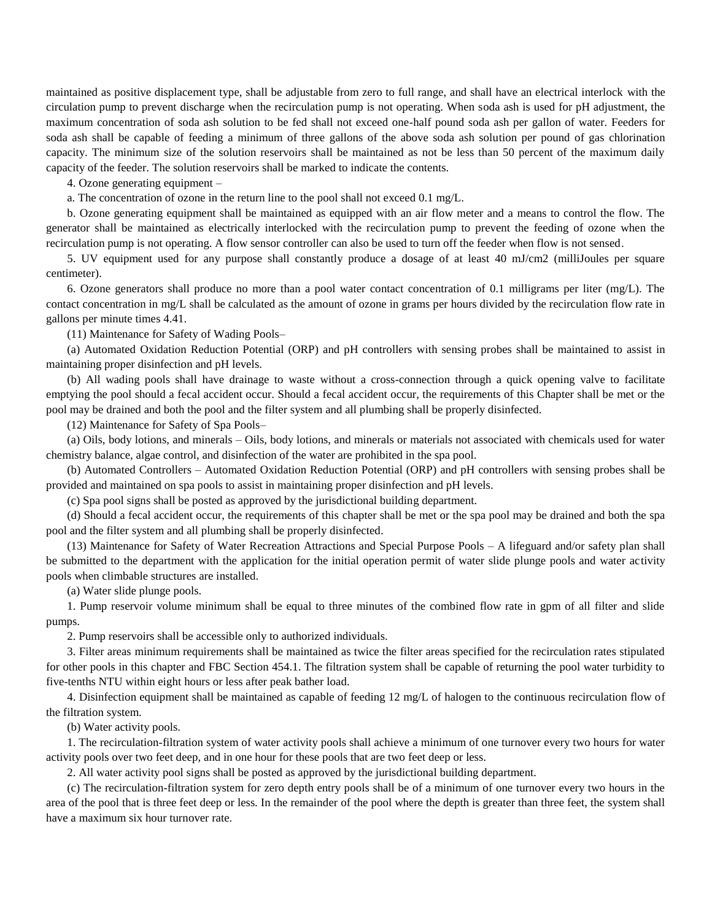maintained as positive displacement type, shall be adjustable from zero to full range, and shall have an electrical interlock with the circulation pump to prevent discharge when the recirculation pump is not operating. When soda ash is used for pH adjustment, the maximum concentration of soda ash solution to be fed shall not exceed one-half pound soda ash per gallon of water. Feeders for soda ash shall be capable of feeding a minimum of three gallons of the above soda ash solution per pound of gas chlorination capacity. The minimum size of the solution reservoirs shall be maintained as not be less than 50 percent of the maximum daily capacity of the feeder. The solution reservoirs shall be marked to indicate the contents.

4. Ozone generating equipment –

a. The concentration of ozone in the return line to the pool shall not exceed 0.1 mg/L.

b. Ozone generating equipment shall be maintained as equipped with an air flow meter and a means to control the flow. The generator shall be maintained as electrically interlocked with the recirculation pump to prevent the feeding of ozone when the recirculation pump is not operating. A flow sensor controller can also be used to turn off the feeder when flow is not sensed.

5. UV equipment used for any purpose shall constantly produce a dosage of at least 40 mJ/cm2 (milliJoules per square centimeter).

6. Ozone generators shall produce no more than a pool water contact concentration of 0.1 milligrams per liter (mg/L). The contact concentration in mg/L shall be calculated as the amount of ozone in grams per hours divided by the recirculation flow rate in gallons per minute times 4.41.

(11) Maintenance for Safety of Wading Pools–

(a) Automated Oxidation Reduction Potential (ORP) and pH controllers with sensing probes shall be maintained to assist in maintaining proper disinfection and pH levels.

(b) All wading pools shall have drainage to waste without a cross-connection through a quick opening valve to facilitate emptying the pool should a fecal accident occur. Should a fecal accident occur, the requirements of this Chapter shall be met or the pool may be drained and both the pool and the filter system and all plumbing shall be properly disinfected.

(12) Maintenance for Safety of Spa Pools–

(a) Oils, body lotions, and minerals – Oils, body lotions, and minerals or materials not associated with chemicals used for water chemistry balance, algae control, and disinfection of the water are prohibited in the spa pool.

(b) Automated Controllers – Automated Oxidation Reduction Potential (ORP) and pH controllers with sensing probes shall be provided and maintained on spa pools to assist in maintaining proper disinfection and pH levels.

(c) Spa pool signs shall be posted as approved by the jurisdictional building department.

(d) Should a fecal accident occur, the requirements of this chapter shall be met or the spa pool may be drained and both the spa pool and the filter system and all plumbing shall be properly disinfected.

(13) Maintenance for Safety of Water Recreation Attractions and Special Purpose Pools – A lifeguard and/or safety plan shall be submitted to the department with the application for the initial operation permit of water slide plunge pools and water activity pools when climbable structures are installed.

(a) Water slide plunge pools.

1. Pump reservoir volume minimum shall be equal to three minutes of the combined flow rate in gpm of all filter and slide pumps.

2. Pump reservoirs shall be accessible only to authorized individuals.

3. Filter areas minimum requirements shall be maintained as twice the filter areas specified for the recirculation rates stipulated for other pools in this chapter and FBC Section 454.1. The filtration system shall be capable of returning the pool water turbidity to five-tenths NTU within eight hours or less after peak bather load.

4. Disinfection equipment shall be maintained as capable of feeding 12 mg/L of halogen to the continuous recirculation flow of the filtration system.

(b) Water activity pools.

1. The recirculation-filtration system of water activity pools shall achieve a minimum of one turnover every two hours for water activity pools over two feet deep, and in one hour for these pools that are two feet deep or less.

2. All water activity pool signs shall be posted as approved by the jurisdictional building department.

(c) The recirculation-filtration system for zero depth entry pools shall be of a minimum of one turnover every two hours in the area of the pool that is three feet deep or less. In the remainder of the pool where the depth is greater than three feet, the system shall have a maximum six hour turnover rate.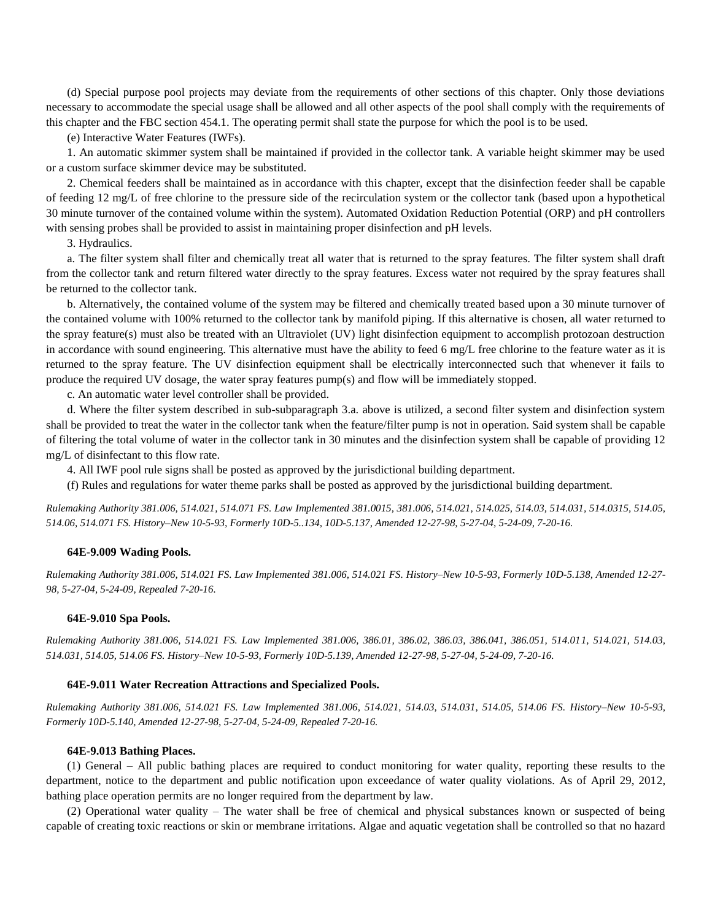(d) Special purpose pool projects may deviate from the requirements of other sections of this chapter. Only those deviations necessary to accommodate the special usage shall be allowed and all other aspects of the pool shall comply with the requirements of this chapter and the FBC section 454.1. The operating permit shall state the purpose for which the pool is to be used.

(e) Interactive Water Features (IWFs).

1. An automatic skimmer system shall be maintained if provided in the collector tank. A variable height skimmer may be used or a custom surface skimmer device may be substituted.

2. Chemical feeders shall be maintained as in accordance with this chapter, except that the disinfection feeder shall be capable of feeding 12 mg/L of free chlorine to the pressure side of the recirculation system or the collector tank (based upon a hypothetical 30 minute turnover of the contained volume within the system). Automated Oxidation Reduction Potential (ORP) and pH controllers with sensing probes shall be provided to assist in maintaining proper disinfection and pH levels.

3. Hydraulics.

a. The filter system shall filter and chemically treat all water that is returned to the spray features. The filter system shall draft from the collector tank and return filtered water directly to the spray features. Excess water not required by the spray features shall be returned to the collector tank.

b. Alternatively, the contained volume of the system may be filtered and chemically treated based upon a 30 minute turnover of the contained volume with 100% returned to the collector tank by manifold piping. If this alternative is chosen, all water returned to the spray feature(s) must also be treated with an Ultraviolet (UV) light disinfection equipment to accomplish protozoan destruction in accordance with sound engineering. This alternative must have the ability to feed 6 mg/L free chlorine to the feature water as it is returned to the spray feature. The UV disinfection equipment shall be electrically interconnected such that whenever it fails to produce the required UV dosage, the water spray features pump(s) and flow will be immediately stopped.

c. An automatic water level controller shall be provided.

d. Where the filter system described in sub-subparagraph 3.a. above is utilized, a second filter system and disinfection system shall be provided to treat the water in the collector tank when the feature/filter pump is not in operation. Said system shall be capable of filtering the total volume of water in the collector tank in 30 minutes and the disinfection system shall be capable of providing 12 mg/L of disinfectant to this flow rate.

4. All IWF pool rule signs shall be posted as approved by the jurisdictional building department.

(f) Rules and regulations for water theme parks shall be posted as approved by the jurisdictional building department.

*Rulemaking Authority 381.006, 514.021, 514.071 FS. Law Implemented 381.0015, 381.006, 514.021, 514.025, 514.03, 514.031, 514.0315, 514.05, 514.06, 514.071 FS. History–New 10-5-93, Formerly 10D-5..134, 10D-5.137, Amended 12-27-98, 5-27-04, 5-24-09, 7-20-16.*

#### **64E-9.009 Wading Pools.**

*Rulemaking Authority 381.006, 514.021 FS. Law Implemented 381.006, 514.021 FS. History–New 10-5-93, Formerly 10D-5.138, Amended 12-27- 98, 5-27-04, 5-24-09, Repealed 7-20-16.*

#### **64E-9.010 Spa Pools.**

*Rulemaking Authority 381.006, 514.021 FS. Law Implemented 381.006, 386.01, 386.02, 386.03, 386.041, 386.051, 514.011, 514.021, 514.03, 514.031, 514.05, 514.06 FS. History–New 10-5-93, Formerly 10D-5.139, Amended 12-27-98, 5-27-04, 5-24-09, 7-20-16.*

#### **64E-9.011 Water Recreation Attractions and Specialized Pools.**

*Rulemaking Authority 381.006, 514.021 FS. Law Implemented 381.006, 514.021, 514.03, 514.031, 514.05, 514.06 FS. History–New 10-5-93, Formerly 10D-5.140, Amended 12-27-98, 5-27-04, 5-24-09, Repealed 7-20-16.*

#### **64E-9.013 Bathing Places.**

(1) General – All public bathing places are required to conduct monitoring for water quality, reporting these results to the department, notice to the department and public notification upon exceedance of water quality violations. As of April 29, 2012, bathing place operation permits are no longer required from the department by law.

(2) Operational water quality – The water shall be free of chemical and physical substances known or suspected of being capable of creating toxic reactions or skin or membrane irritations. Algae and aquatic vegetation shall be controlled so that no hazard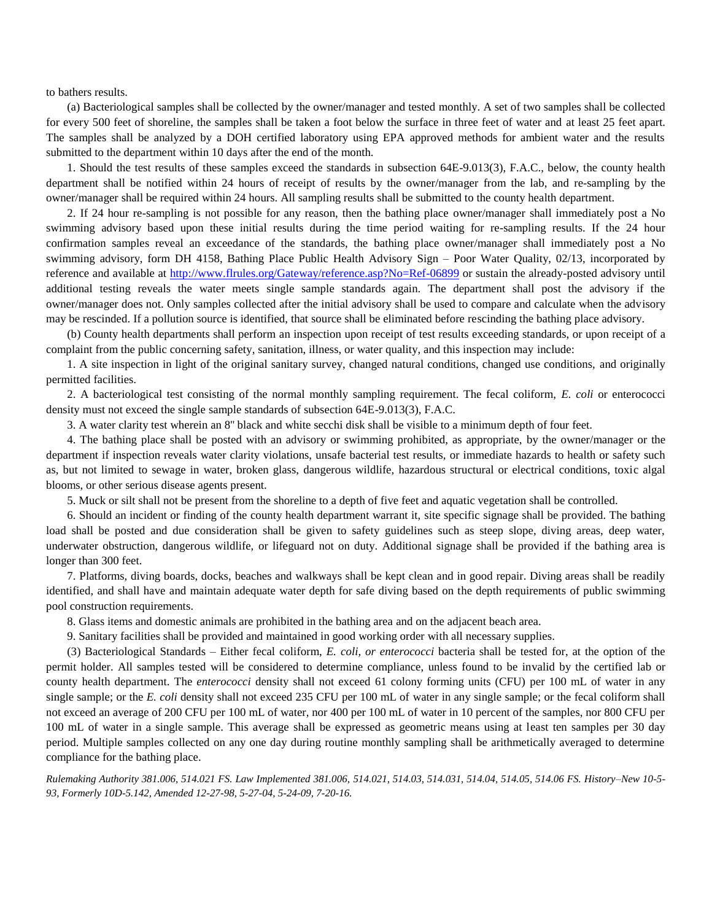to bathers results.

(a) Bacteriological samples shall be collected by the owner/manager and tested monthly. A set of two samples shall be collected for every 500 feet of shoreline, the samples shall be taken a foot below the surface in three feet of water and at least 25 feet apart. The samples shall be analyzed by a DOH certified laboratory using EPA approved methods for ambient water and the results submitted to the department within 10 days after the end of the month.

1. Should the test results of these samples exceed the standards in subsection 64E-9.013(3), F.A.C., below, the county health department shall be notified within 24 hours of receipt of results by the owner/manager from the lab, and re-sampling by the owner/manager shall be required within 24 hours. All sampling results shall be submitted to the county health department.

2. If 24 hour re-sampling is not possible for any reason, then the bathing place owner/manager shall immediately post a No swimming advisory based upon these initial results during the time period waiting for re-sampling results. If the 24 hour confirmation samples reveal an exceedance of the standards, the bathing place owner/manager shall immediately post a No swimming advisory, form DH 4158, Bathing Place Public Health Advisory Sign – Poor Water Quality, 02/13, incorporated by reference and available at<http://www.flrules.org/Gateway/reference.asp?No=Ref-06899> or sustain the already-posted advisory until additional testing reveals the water meets single sample standards again. The department shall post the advisory if the owner/manager does not. Only samples collected after the initial advisory shall be used to compare and calculate when the advisory may be rescinded. If a pollution source is identified, that source shall be eliminated before rescinding the bathing place advisory.

(b) County health departments shall perform an inspection upon receipt of test results exceeding standards, or upon receipt of a complaint from the public concerning safety, sanitation, illness, or water quality, and this inspection may include:

1. A site inspection in light of the original sanitary survey, changed natural conditions, changed use conditions, and originally permitted facilities.

2. A bacteriological test consisting of the normal monthly sampling requirement. The fecal coliform, *E. coli* or enterococci density must not exceed the single sample standards of subsection 64E-9.013(3), F.A.C.

3. A water clarity test wherein an 8'' black and white secchi disk shall be visible to a minimum depth of four feet.

4. The bathing place shall be posted with an advisory or swimming prohibited, as appropriate, by the owner/manager or the department if inspection reveals water clarity violations, unsafe bacterial test results, or immediate hazards to health or safety such as, but not limited to sewage in water, broken glass, dangerous wildlife, hazardous structural or electrical conditions, toxic algal blooms, or other serious disease agents present.

5. Muck or silt shall not be present from the shoreline to a depth of five feet and aquatic vegetation shall be controlled.

6. Should an incident or finding of the county health department warrant it, site specific signage shall be provided. The bathing load shall be posted and due consideration shall be given to safety guidelines such as steep slope, diving areas, deep water, underwater obstruction, dangerous wildlife, or lifeguard not on duty. Additional signage shall be provided if the bathing area is longer than 300 feet.

7. Platforms, diving boards, docks, beaches and walkways shall be kept clean and in good repair. Diving areas shall be readily identified, and shall have and maintain adequate water depth for safe diving based on the depth requirements of public swimming pool construction requirements.

8. Glass items and domestic animals are prohibited in the bathing area and on the adjacent beach area.

9. Sanitary facilities shall be provided and maintained in good working order with all necessary supplies.

(3) Bacteriological Standards – Either fecal coliform, *E. coli, or enterococci* bacteria shall be tested for, at the option of the permit holder. All samples tested will be considered to determine compliance, unless found to be invalid by the certified lab or county health department. The *enterococci* density shall not exceed 61 colony forming units (CFU) per 100 mL of water in any single sample; or the *E. coli* density shall not exceed 235 CFU per 100 mL of water in any single sample; or the fecal coliform shall not exceed an average of 200 CFU per 100 mL of water, nor 400 per 100 mL of water in 10 percent of the samples, nor 800 CFU per 100 mL of water in a single sample. This average shall be expressed as geometric means using at least ten samples per 30 day period. Multiple samples collected on any one day during routine monthly sampling shall be arithmetically averaged to determine compliance for the bathing place.

*Rulemaking Authority 381.006, 514.021 FS. Law Implemented 381.006, 514.021, 514.03, 514.031, 514.04, 514.05, 514.06 FS. History–New 10-5- 93, Formerly 10D-5.142, Amended 12-27-98, 5-27-04, 5-24-09, 7-20-16.*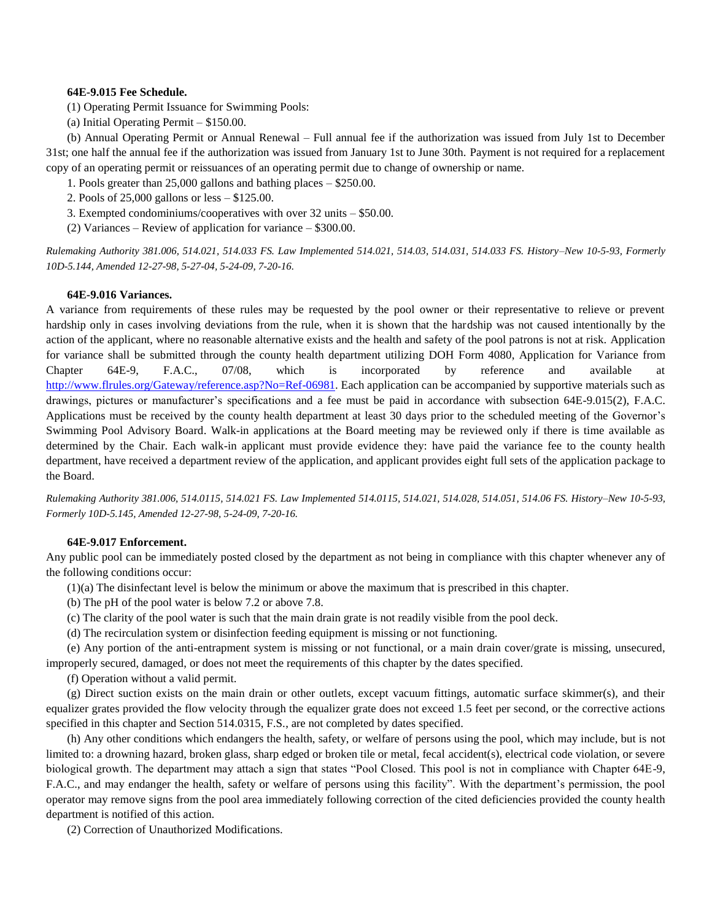### **64E-9.015 Fee Schedule.**

(1) Operating Permit Issuance for Swimming Pools:

(a) Initial Operating Permit – \$150.00.

(b) Annual Operating Permit or Annual Renewal – Full annual fee if the authorization was issued from July 1st to December 31st; one half the annual fee if the authorization was issued from January 1st to June 30th. Payment is not required for a replacement copy of an operating permit or reissuances of an operating permit due to change of ownership or name.

1. Pools greater than 25,000 gallons and bathing places – \$250.00.

2. Pools of 25,000 gallons or less – \$125.00.

- 3. Exempted condominiums/cooperatives with over 32 units \$50.00.
- (2) Variances Review of application for variance \$300.00.

*Rulemaking Authority 381.006, 514.021, 514.033 FS. Law Implemented 514.021, 514.03, 514.031, 514.033 FS. History–New 10-5-93, Formerly 10D-5.144, Amended 12-27-98, 5-27-04, 5-24-09, 7-20-16.*

### **64E-9.016 Variances.**

A variance from requirements of these rules may be requested by the pool owner or their representative to relieve or prevent hardship only in cases involving deviations from the rule, when it is shown that the hardship was not caused intentionally by the action of the applicant, where no reasonable alternative exists and the health and safety of the pool patrons is not at risk. Application for variance shall be submitted through the county health department utilizing DOH Form 4080, Application for Variance from Chapter 64E-9, F.A.C., 07/08, which is incorporated by reference and available at [http://www.flrules.org/Gateway/reference.asp?No=Ref-06981.](http://www.flrules.org/Gateway/reference.asp?No=Ref-06981) Each application can be accompanied by supportive materials such as drawings, pictures or manufacturer's specifications and a fee must be paid in accordance with subsection 64E-9.015(2), F.A.C. Applications must be received by the county health department at least 30 days prior to the scheduled meeting of the Governor's Swimming Pool Advisory Board. Walk-in applications at the Board meeting may be reviewed only if there is time available as determined by the Chair. Each walk-in applicant must provide evidence they: have paid the variance fee to the county health department, have received a department review of the application, and applicant provides eight full sets of the application package to the Board.

*Rulemaking Authority 381.006, 514.0115, 514.021 FS. Law Implemented 514.0115, 514.021, 514.028, 514.051, 514.06 FS. History–New 10-5-93, Formerly 10D-5.145, Amended 12-27-98, 5-24-09, 7-20-16.*

### **64E-9.017 Enforcement.**

Any public pool can be immediately posted closed by the department as not being in compliance with this chapter whenever any of the following conditions occur:

- (1)(a) The disinfectant level is below the minimum or above the maximum that is prescribed in this chapter.
- (b) The pH of the pool water is below 7.2 or above 7.8.
- (c) The clarity of the pool water is such that the main drain grate is not readily visible from the pool deck.
- (d) The recirculation system or disinfection feeding equipment is missing or not functioning.

(e) Any portion of the anti-entrapment system is missing or not functional, or a main drain cover/grate is missing, unsecured, improperly secured, damaged, or does not meet the requirements of this chapter by the dates specified.

(f) Operation without a valid permit.

(g) Direct suction exists on the main drain or other outlets, except vacuum fittings, automatic surface skimmer(s), and their equalizer grates provided the flow velocity through the equalizer grate does not exceed 1.5 feet per second, or the corrective actions specified in this chapter and Section 514.0315, F.S., are not completed by dates specified.

(h) Any other conditions which endangers the health, safety, or welfare of persons using the pool, which may include, but is not limited to: a drowning hazard, broken glass, sharp edged or broken tile or metal, fecal accident(s), electrical code violation, or severe biological growth. The department may attach a sign that states "Pool Closed. This pool is not in compliance with Chapter 64E-9, F.A.C., and may endanger the health, safety or welfare of persons using this facility". With the department's permission, the pool operator may remove signs from the pool area immediately following correction of the cited deficiencies provided the county health department is notified of this action.

(2) Correction of Unauthorized Modifications.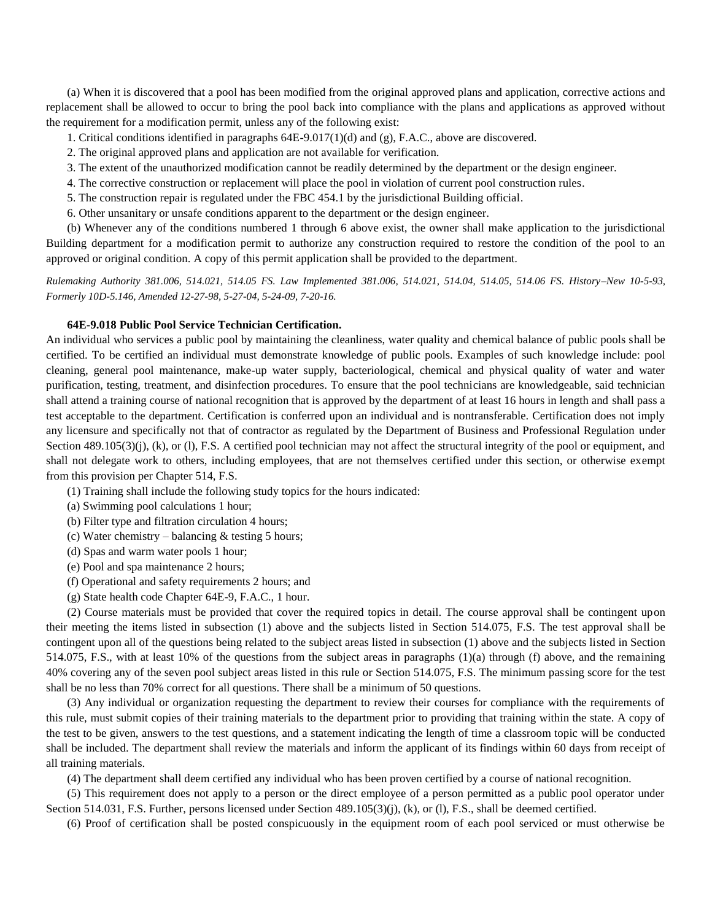(a) When it is discovered that a pool has been modified from the original approved plans and application, corrective actions and replacement shall be allowed to occur to bring the pool back into compliance with the plans and applications as approved without the requirement for a modification permit, unless any of the following exist:

- 1. Critical conditions identified in paragraphs 64E-9.017(1)(d) and (g), F.A.C., above are discovered.
- 2. The original approved plans and application are not available for verification.
- 3. The extent of the unauthorized modification cannot be readily determined by the department or the design engineer.
- 4. The corrective construction or replacement will place the pool in violation of current pool construction rules.
- 5. The construction repair is regulated under the FBC 454.1 by the jurisdictional Building official.
- 6. Other unsanitary or unsafe conditions apparent to the department or the design engineer.

(b) Whenever any of the conditions numbered 1 through 6 above exist, the owner shall make application to the jurisdictional Building department for a modification permit to authorize any construction required to restore the condition of the pool to an approved or original condition. A copy of this permit application shall be provided to the department.

*Rulemaking Authority 381.006, 514.021, 514.05 FS. Law Implemented 381.006, 514.021, 514.04, 514.05, 514.06 FS. History–New 10-5-93, Formerly 10D-5.146, Amended 12-27-98, 5-27-04, 5-24-09, 7-20-16.*

### **64E-9.018 Public Pool Service Technician Certification.**

An individual who services a public pool by maintaining the cleanliness, water quality and chemical balance of public pools shall be certified. To be certified an individual must demonstrate knowledge of public pools. Examples of such knowledge include: pool cleaning, general pool maintenance, make-up water supply, bacteriological, chemical and physical quality of water and water purification, testing, treatment, and disinfection procedures. To ensure that the pool technicians are knowledgeable, said technician shall attend a training course of national recognition that is approved by the department of at least 16 hours in length and shall pass a test acceptable to the department. Certification is conferred upon an individual and is nontransferable. Certification does not imply any licensure and specifically not that of contractor as regulated by the Department of Business and Professional Regulation under Section 489.105(3)(j), (k), or (1), F.S. A certified pool technician may not affect the structural integrity of the pool or equipment, and shall not delegate work to others, including employees, that are not themselves certified under this section, or otherwise exempt from this provision per Chapter 514, F.S.

- (1) Training shall include the following study topics for the hours indicated:
- (a) Swimming pool calculations 1 hour;
- (b) Filter type and filtration circulation 4 hours;
- (c) Water chemistry balancing  $&$  testing 5 hours;
- (d) Spas and warm water pools 1 hour;
- (e) Pool and spa maintenance 2 hours;
- (f) Operational and safety requirements 2 hours; and
- (g) State health code Chapter 64E-9, F.A.C., 1 hour.

(2) Course materials must be provided that cover the required topics in detail. The course approval shall be contingent upon their meeting the items listed in subsection (1) above and the subjects listed in Section 514.075, F.S. The test approval shall be contingent upon all of the questions being related to the subject areas listed in subsection (1) above and the subjects listed in Section 514.075, F.S., with at least 10% of the questions from the subject areas in paragraphs (1)(a) through (f) above, and the remaining 40% covering any of the seven pool subject areas listed in this rule or Section 514.075, F.S. The minimum passing score for the test shall be no less than 70% correct for all questions. There shall be a minimum of 50 questions.

(3) Any individual or organization requesting the department to review their courses for compliance with the requirements of this rule, must submit copies of their training materials to the department prior to providing that training within the state. A copy of the test to be given, answers to the test questions, and a statement indicating the length of time a classroom topic will be conducted shall be included. The department shall review the materials and inform the applicant of its findings within 60 days from receipt of all training materials.

(4) The department shall deem certified any individual who has been proven certified by a course of national recognition.

(5) This requirement does not apply to a person or the direct employee of a person permitted as a public pool operator under Section 514.031, F.S. Further, persons licensed under Section 489.105(3)(j), (k), or (l), F.S., shall be deemed certified.

(6) Proof of certification shall be posted conspicuously in the equipment room of each pool serviced or must otherwise be